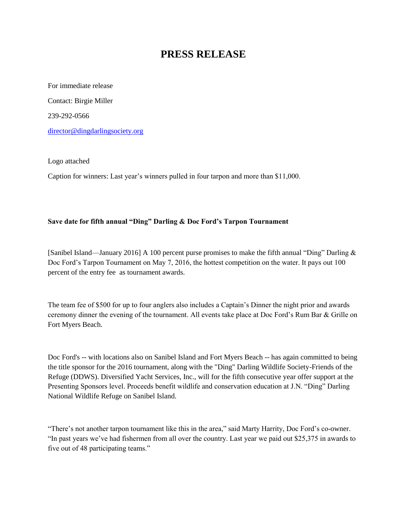## **PRESS RELEASE**

For immediate release Contact: Birgie Miller 239-292-0566 [director@dingdarlingsociety.org](mailto:director@dingdarlingsociety.org)

Logo attached

Caption for winners: Last year's winners pulled in four tarpon and more than \$11,000.

## **Save date for fifth annual "Ding" Darling & Doc Ford's Tarpon Tournament**

[Sanibel Island—January 2016] A 100 percent purse promises to make the fifth annual "Ding" Darling & Doc Ford's Tarpon Tournament on May 7, 2016, the hottest competition on the water. It pays out 100 percent of the entry fee as tournament awards.

The team fee of \$500 for up to four anglers also includes a Captain's Dinner the night prior and awards ceremony dinner the evening of the tournament. All events take place at Doc Ford's Rum Bar & Grille on Fort Myers Beach.

Doc Ford's -- with locations also on Sanibel Island and Fort Myers Beach -- has again committed to being the title sponsor for the 2016 tournament, along with the "Ding" Darling Wildlife Society-Friends of the Refuge (DDWS). Diversified Yacht Services, Inc., will for the fifth consecutive year offer support at the Presenting Sponsors level. Proceeds benefit wildlife and conservation education at J.N. "Ding" Darling National Wildlife Refuge on Sanibel Island.

"There's not another tarpon tournament like this in the area," said Marty Harrity, Doc Ford's co-owner. "In past years we've had fishermen from all over the country. Last year we paid out \$25,375 in awards to five out of 48 participating teams."